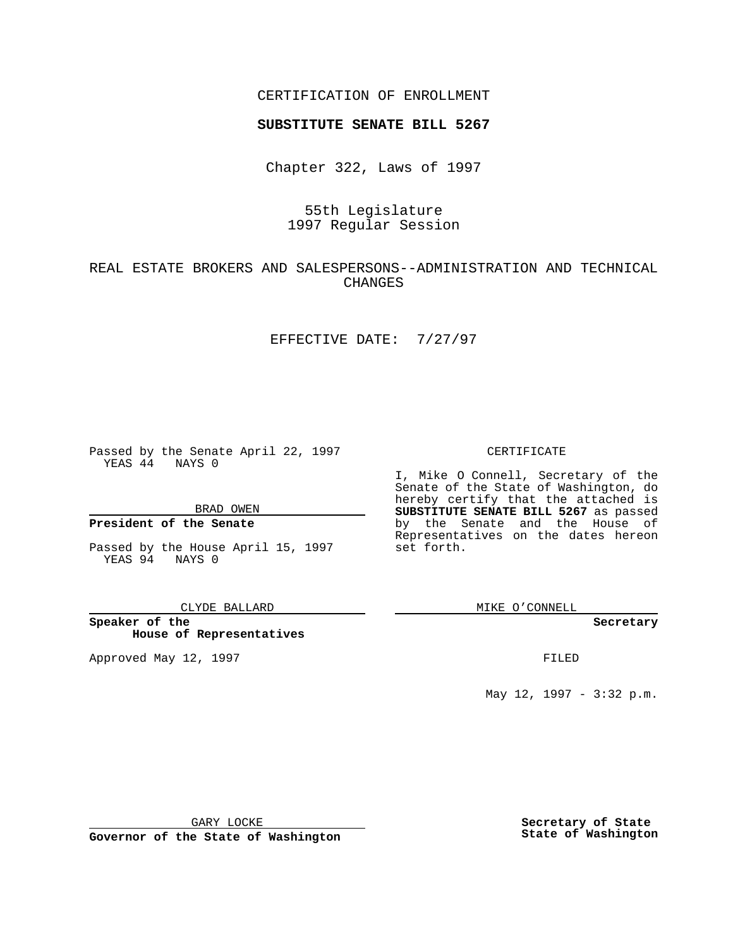CERTIFICATION OF ENROLLMENT

# **SUBSTITUTE SENATE BILL 5267**

Chapter 322, Laws of 1997

# 55th Legislature 1997 Regular Session

# REAL ESTATE BROKERS AND SALESPERSONS--ADMINISTRATION AND TECHNICAL CHANGES

### EFFECTIVE DATE: 7/27/97

Passed by the Senate April 22, 1997 YEAS 44 NAYS 0

BRAD OWEN

### **President of the Senate**

Passed by the House April 15, 1997 YEAS 94 NAYS 0

#### CLYDE BALLARD

**Speaker of the House of Representatives**

Approved May 12, 1997 **FILED** 

### CERTIFICATE

I, Mike O Connell, Secretary of the Senate of the State of Washington, do hereby certify that the attached is **SUBSTITUTE SENATE BILL 5267** as passed by the Senate and the House of Representatives on the dates hereon set forth.

MIKE O'CONNELL

#### **Secretary**

May 12, 1997 - 3:32 p.m.

GARY LOCKE

**Governor of the State of Washington**

**Secretary of State State of Washington**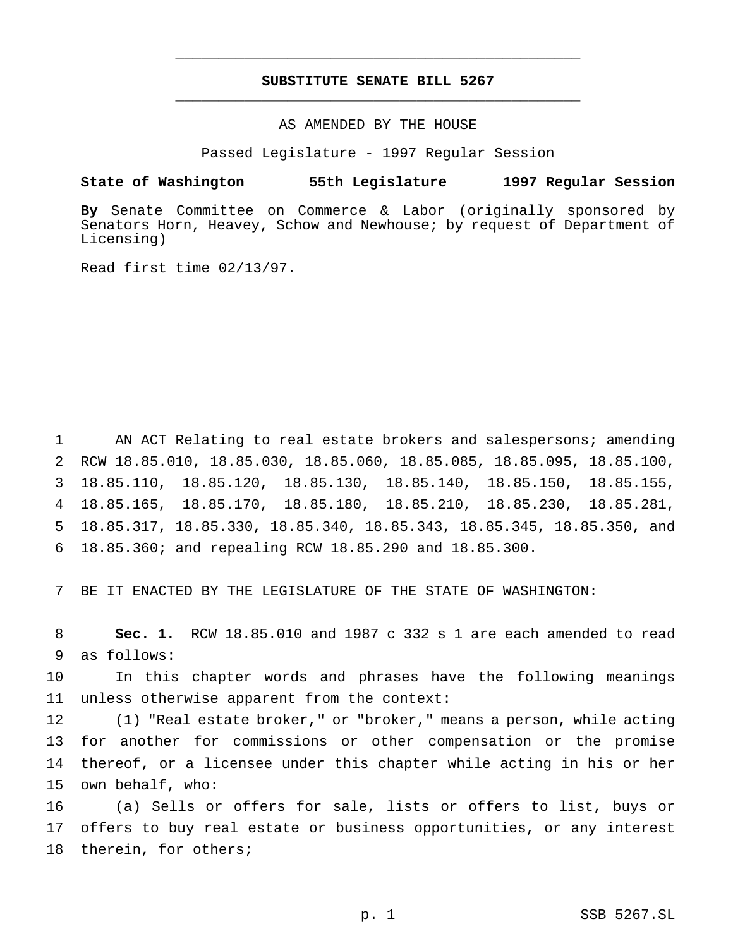# **SUBSTITUTE SENATE BILL 5267** \_\_\_\_\_\_\_\_\_\_\_\_\_\_\_\_\_\_\_\_\_\_\_\_\_\_\_\_\_\_\_\_\_\_\_\_\_\_\_\_\_\_\_\_\_\_\_

\_\_\_\_\_\_\_\_\_\_\_\_\_\_\_\_\_\_\_\_\_\_\_\_\_\_\_\_\_\_\_\_\_\_\_\_\_\_\_\_\_\_\_\_\_\_\_

## AS AMENDED BY THE HOUSE

Passed Legislature - 1997 Regular Session

### **State of Washington 55th Legislature 1997 Regular Session**

**By** Senate Committee on Commerce & Labor (originally sponsored by Senators Horn, Heavey, Schow and Newhouse; by request of Department of Licensing)

Read first time 02/13/97.

 AN ACT Relating to real estate brokers and salespersons; amending RCW 18.85.010, 18.85.030, 18.85.060, 18.85.085, 18.85.095, 18.85.100, 18.85.110, 18.85.120, 18.85.130, 18.85.140, 18.85.150, 18.85.155, 18.85.165, 18.85.170, 18.85.180, 18.85.210, 18.85.230, 18.85.281, 18.85.317, 18.85.330, 18.85.340, 18.85.343, 18.85.345, 18.85.350, and 18.85.360; and repealing RCW 18.85.290 and 18.85.300.

7 BE IT ENACTED BY THE LEGISLATURE OF THE STATE OF WASHINGTON:

8 **Sec. 1.** RCW 18.85.010 and 1987 c 332 s 1 are each amended to read 9 as follows:

10 In this chapter words and phrases have the following meanings 11 unless otherwise apparent from the context:

 (1) "Real estate broker," or "broker," means a person, while acting for another for commissions or other compensation or the promise thereof, or a licensee under this chapter while acting in his or her own behalf, who:

16 (a) Sells or offers for sale, lists or offers to list, buys or 17 offers to buy real estate or business opportunities, or any interest 18 therein, for others;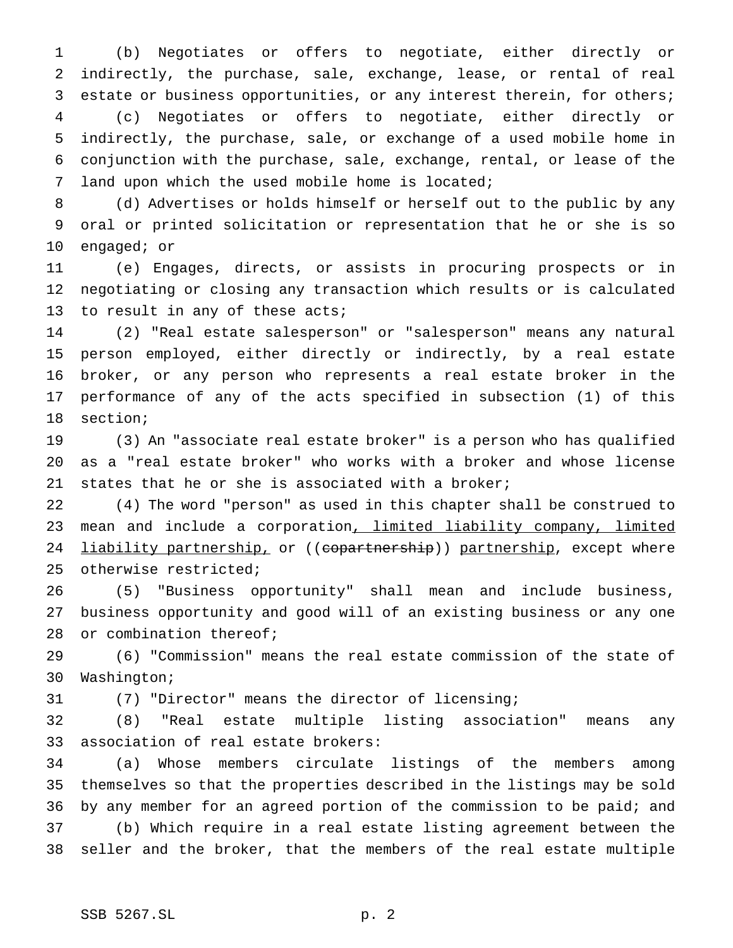(b) Negotiates or offers to negotiate, either directly or indirectly, the purchase, sale, exchange, lease, or rental of real estate or business opportunities, or any interest therein, for others; (c) Negotiates or offers to negotiate, either directly or indirectly, the purchase, sale, or exchange of a used mobile home in conjunction with the purchase, sale, exchange, rental, or lease of the land upon which the used mobile home is located;

 (d) Advertises or holds himself or herself out to the public by any oral or printed solicitation or representation that he or she is so engaged; or

 (e) Engages, directs, or assists in procuring prospects or in negotiating or closing any transaction which results or is calculated 13 to result in any of these acts;

 (2) "Real estate salesperson" or "salesperson" means any natural person employed, either directly or indirectly, by a real estate broker, or any person who represents a real estate broker in the performance of any of the acts specified in subsection (1) of this section;

 (3) An "associate real estate broker" is a person who has qualified as a "real estate broker" who works with a broker and whose license states that he or she is associated with a broker;

 (4) The word "person" as used in this chapter shall be construed to 23 mean and include a corporation, limited liability company, limited 24 liability partnership, or ((copartnership)) partnership, except where otherwise restricted;

 (5) "Business opportunity" shall mean and include business, business opportunity and good will of an existing business or any one 28 or combination thereof;

 (6) "Commission" means the real estate commission of the state of Washington;

(7) "Director" means the director of licensing;

 (8) "Real estate multiple listing association" means any association of real estate brokers:

 (a) Whose members circulate listings of the members among themselves so that the properties described in the listings may be sold by any member for an agreed portion of the commission to be paid; and (b) Which require in a real estate listing agreement between the seller and the broker, that the members of the real estate multiple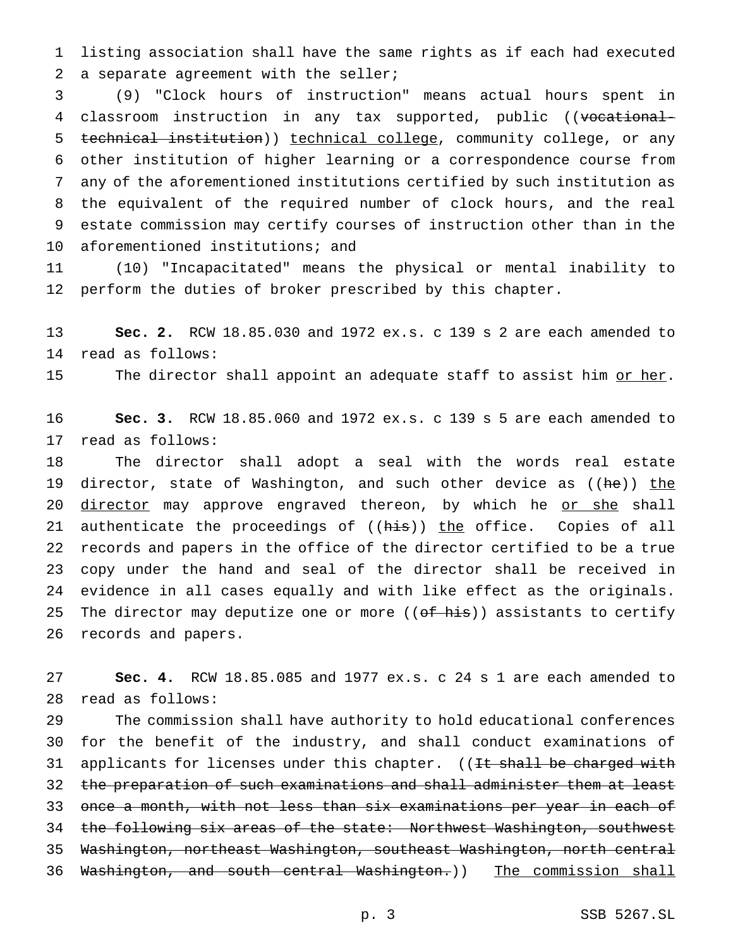listing association shall have the same rights as if each had executed 2 a separate agreement with the seller;

 (9) "Clock hours of instruction" means actual hours spent in 4 classroom instruction in any tax supported, public ((vocational- technical institution)) technical college, community college, or any other institution of higher learning or a correspondence course from any of the aforementioned institutions certified by such institution as the equivalent of the required number of clock hours, and the real estate commission may certify courses of instruction other than in the aforementioned institutions; and

 (10) "Incapacitated" means the physical or mental inability to perform the duties of broker prescribed by this chapter.

 **Sec. 2.** RCW 18.85.030 and 1972 ex.s. c 139 s 2 are each amended to read as follows:

15 The director shall appoint an adequate staff to assist him or her.

 **Sec. 3.** RCW 18.85.060 and 1972 ex.s. c 139 s 5 are each amended to read as follows:

 The director shall adopt a seal with the words real estate 19 director, state of Washington, and such other device as ((he)) the 20 director may approve engraved thereon, by which he or she shall 21 authenticate the proceedings of ((his)) the office. Copies of all records and papers in the office of the director certified to be a true copy under the hand and seal of the director shall be received in evidence in all cases equally and with like effect as the originals. 25 The director may deputize one or more ((of his)) assistants to certify records and papers.

 **Sec. 4.** RCW 18.85.085 and 1977 ex.s. c 24 s 1 are each amended to read as follows:

 The commission shall have authority to hold educational conferences for the benefit of the industry, and shall conduct examinations of 31 applicants for licenses under this chapter. ((It shall be charged with 32 the preparation of such examinations and shall administer them at least once a month, with not less than six examinations per year in each of 34 the following six areas of the state: Northwest Washington, southwest Washington, northeast Washington, southeast Washington, north central 36 Washington, and south central Washington.)) The commission shall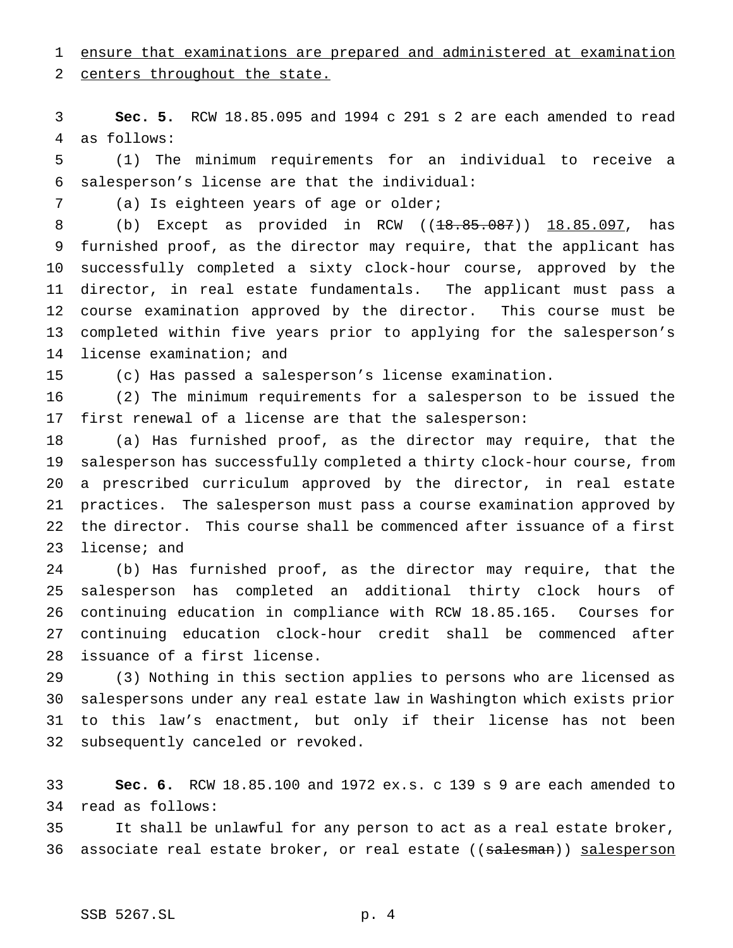ensure that examinations are prepared and administered at examination

2 centers throughout the state.

 **Sec. 5.** RCW 18.85.095 and 1994 c 291 s 2 are each amended to read as follows:

 (1) The minimum requirements for an individual to receive a salesperson's license are that the individual:

(a) Is eighteen years of age or older;

8 (b) Except as provided in RCW ((<del>18.85.087</del>)) 18.85.097, has furnished proof, as the director may require, that the applicant has successfully completed a sixty clock-hour course, approved by the director, in real estate fundamentals. The applicant must pass a course examination approved by the director. This course must be completed within five years prior to applying for the salesperson's license examination; and

(c) Has passed a salesperson's license examination.

 (2) The minimum requirements for a salesperson to be issued the first renewal of a license are that the salesperson:

 (a) Has furnished proof, as the director may require, that the salesperson has successfully completed a thirty clock-hour course, from a prescribed curriculum approved by the director, in real estate practices. The salesperson must pass a course examination approved by the director. This course shall be commenced after issuance of a first license; and

 (b) Has furnished proof, as the director may require, that the salesperson has completed an additional thirty clock hours of continuing education in compliance with RCW 18.85.165. Courses for continuing education clock-hour credit shall be commenced after issuance of a first license.

 (3) Nothing in this section applies to persons who are licensed as salespersons under any real estate law in Washington which exists prior to this law's enactment, but only if their license has not been subsequently canceled or revoked.

 **Sec. 6.** RCW 18.85.100 and 1972 ex.s. c 139 s 9 are each amended to read as follows:

 It shall be unlawful for any person to act as a real estate broker, 36 associate real estate broker, or real estate ((salesman)) salesperson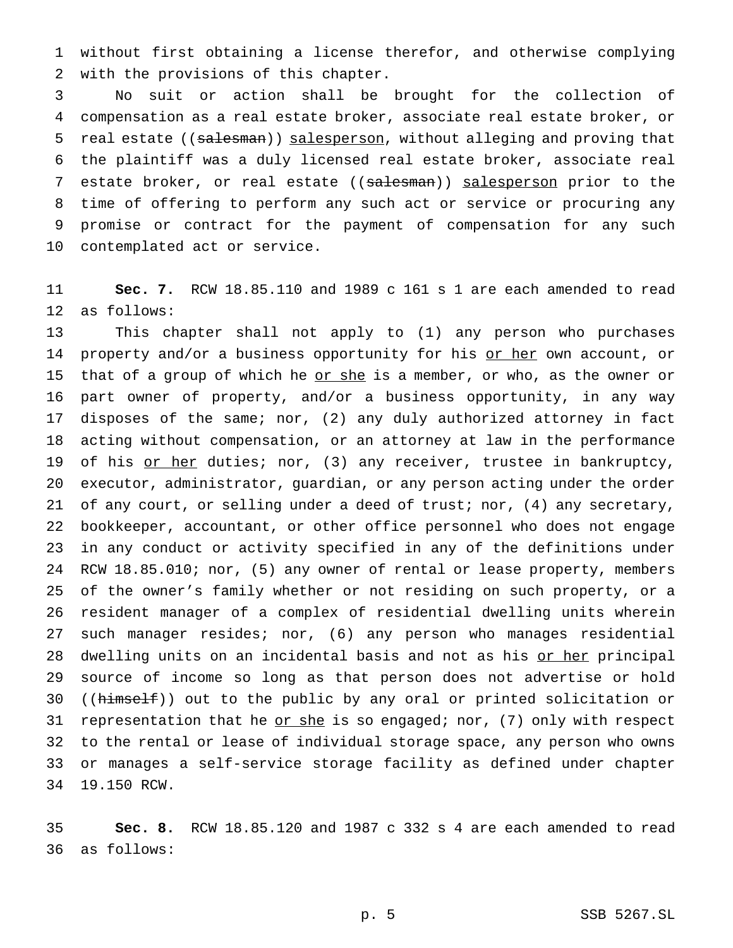without first obtaining a license therefor, and otherwise complying with the provisions of this chapter.

 No suit or action shall be brought for the collection of compensation as a real estate broker, associate real estate broker, or 5 real estate ((salesman)) salesperson, without alleging and proving that the plaintiff was a duly licensed real estate broker, associate real 7 estate broker, or real estate ((salesman)) salesperson prior to the time of offering to perform any such act or service or procuring any promise or contract for the payment of compensation for any such contemplated act or service.

 **Sec. 7.** RCW 18.85.110 and 1989 c 161 s 1 are each amended to read as follows:

 This chapter shall not apply to (1) any person who purchases 14 property and/or a business opportunity for his or her own account, or 15 that of a group of which he or she is a member, or who, as the owner or part owner of property, and/or a business opportunity, in any way disposes of the same; nor, (2) any duly authorized attorney in fact acting without compensation, or an attorney at law in the performance 19 of his or her duties; nor, (3) any receiver, trustee in bankruptcy, executor, administrator, guardian, or any person acting under the order of any court, or selling under a deed of trust; nor, (4) any secretary, bookkeeper, accountant, or other office personnel who does not engage in any conduct or activity specified in any of the definitions under RCW 18.85.010; nor, (5) any owner of rental or lease property, members of the owner's family whether or not residing on such property, or a resident manager of a complex of residential dwelling units wherein such manager resides; nor, (6) any person who manages residential 28 dwelling units on an incidental basis and not as his or her principal source of income so long as that person does not advertise or hold 30 ((himself)) out to the public by any oral or printed solicitation or 31 representation that he  $or she$  is so engaged; nor, (7) only with respect</u> to the rental or lease of individual storage space, any person who owns or manages a self-service storage facility as defined under chapter 19.150 RCW.

 **Sec. 8.** RCW 18.85.120 and 1987 c 332 s 4 are each amended to read as follows: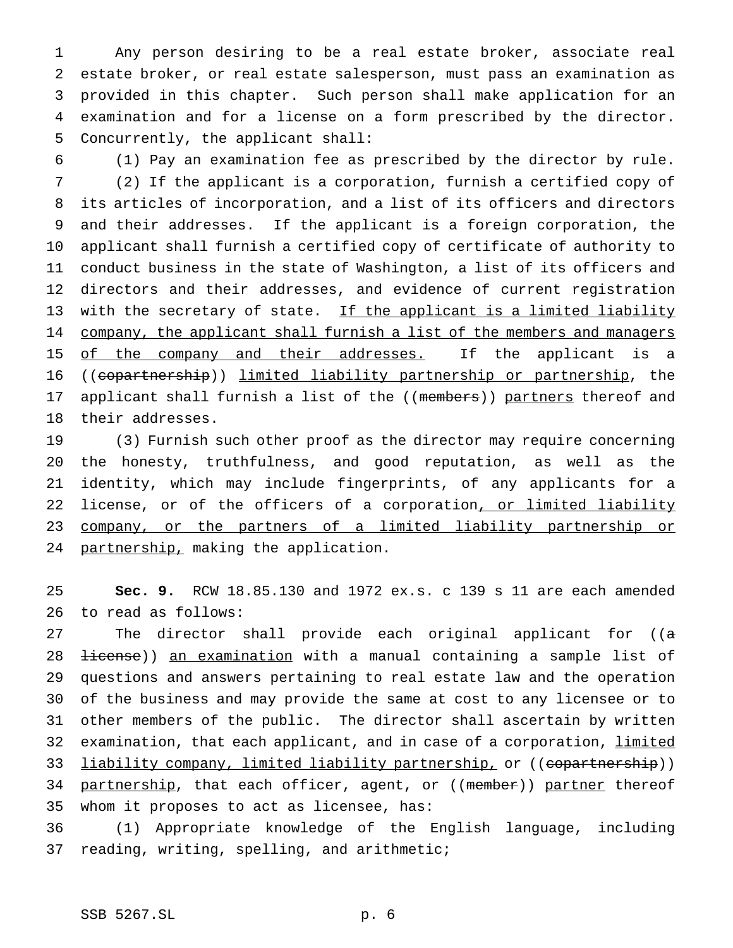Any person desiring to be a real estate broker, associate real estate broker, or real estate salesperson, must pass an examination as provided in this chapter. Such person shall make application for an examination and for a license on a form prescribed by the director. Concurrently, the applicant shall:

(1) Pay an examination fee as prescribed by the director by rule.

 (2) If the applicant is a corporation, furnish a certified copy of its articles of incorporation, and a list of its officers and directors and their addresses. If the applicant is a foreign corporation, the applicant shall furnish a certified copy of certificate of authority to conduct business in the state of Washington, a list of its officers and directors and their addresses, and evidence of current registration 13 with the secretary of state. If the applicant is a limited liability 14 company, the applicant shall furnish a list of the members and managers 15 of the company and their addresses. If the applicant is a ((copartnership)) limited liability partnership or partnership, the 17 applicant shall furnish a list of the ((members)) partners thereof and their addresses.

 (3) Furnish such other proof as the director may require concerning the honesty, truthfulness, and good reputation, as well as the identity, which may include fingerprints, of any applicants for a 22 license, or of the officers of a corporation<u>, or limited liability</u> company, or the partners of a limited liability partnership or 24 partnership, making the application.

 **Sec. 9.** RCW 18.85.130 and 1972 ex.s. c 139 s 11 are each amended to read as follows:

27 The director shall provide each original applicant for ((a 28 <del>license</del>)) an examination with a manual containing a sample list of questions and answers pertaining to real estate law and the operation of the business and may provide the same at cost to any licensee or to other members of the public. The director shall ascertain by written 32 examination, that each applicant, and in case of a corporation, limited 33 liability company, limited liability partnership, or ((copartnership)) 34 partnership, that each officer, agent, or ((member)) partner thereof whom it proposes to act as licensee, has:

 (1) Appropriate knowledge of the English language, including reading, writing, spelling, and arithmetic;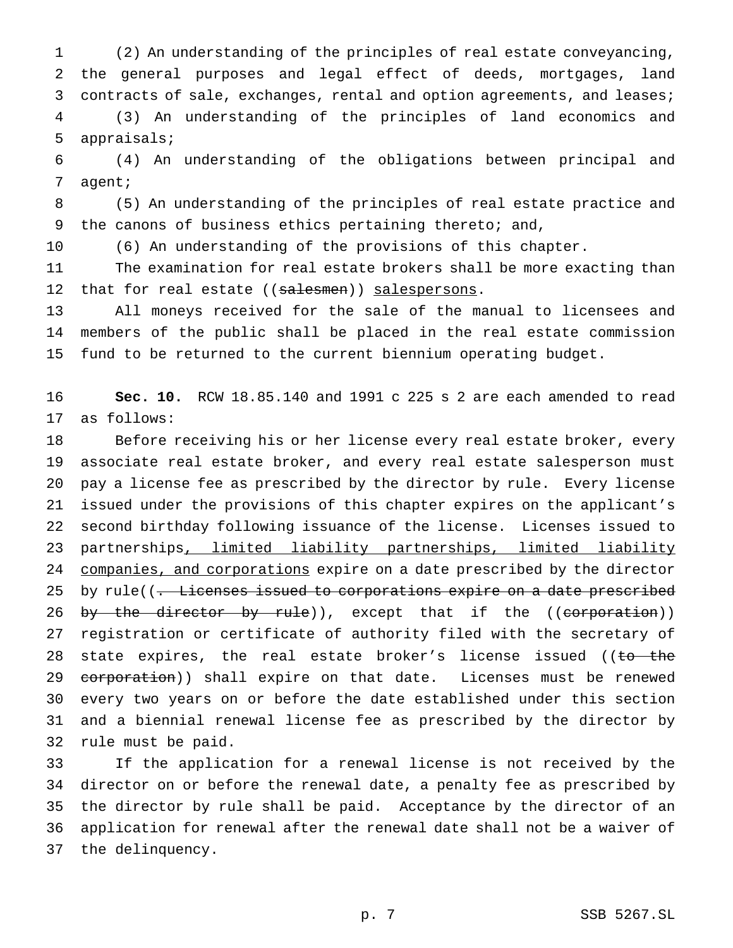(2) An understanding of the principles of real estate conveyancing, the general purposes and legal effect of deeds, mortgages, land 3 contracts of sale, exchanges, rental and option agreements, and leases; (3) An understanding of the principles of land economics and

 (4) An understanding of the obligations between principal and agent;

 (5) An understanding of the principles of real estate practice and the canons of business ethics pertaining thereto; and,

(6) An understanding of the provisions of this chapter.

appraisals;

 The examination for real estate brokers shall be more exacting than 12 that for real estate ((salesmen)) salespersons.

 All moneys received for the sale of the manual to licensees and members of the public shall be placed in the real estate commission fund to be returned to the current biennium operating budget.

 **Sec. 10.** RCW 18.85.140 and 1991 c 225 s 2 are each amended to read as follows:

 Before receiving his or her license every real estate broker, every associate real estate broker, and every real estate salesperson must pay a license fee as prescribed by the director by rule. Every license issued under the provisions of this chapter expires on the applicant's second birthday following issuance of the license. Licenses issued to partnerships, limited liability partnerships, limited liability 24 companies, and corporations expire on a date prescribed by the director 25 by rule((. Licenses issued to corporations expire on a date prescribed 26 by the director by rule)), except that if the ((corporation)) registration or certificate of authority filed with the secretary of 28 state expires, the real estate broker's license issued ((to the 29 corporation)) shall expire on that date. Licenses must be renewed every two years on or before the date established under this section and a biennial renewal license fee as prescribed by the director by rule must be paid.

 If the application for a renewal license is not received by the director on or before the renewal date, a penalty fee as prescribed by the director by rule shall be paid. Acceptance by the director of an application for renewal after the renewal date shall not be a waiver of the delinquency.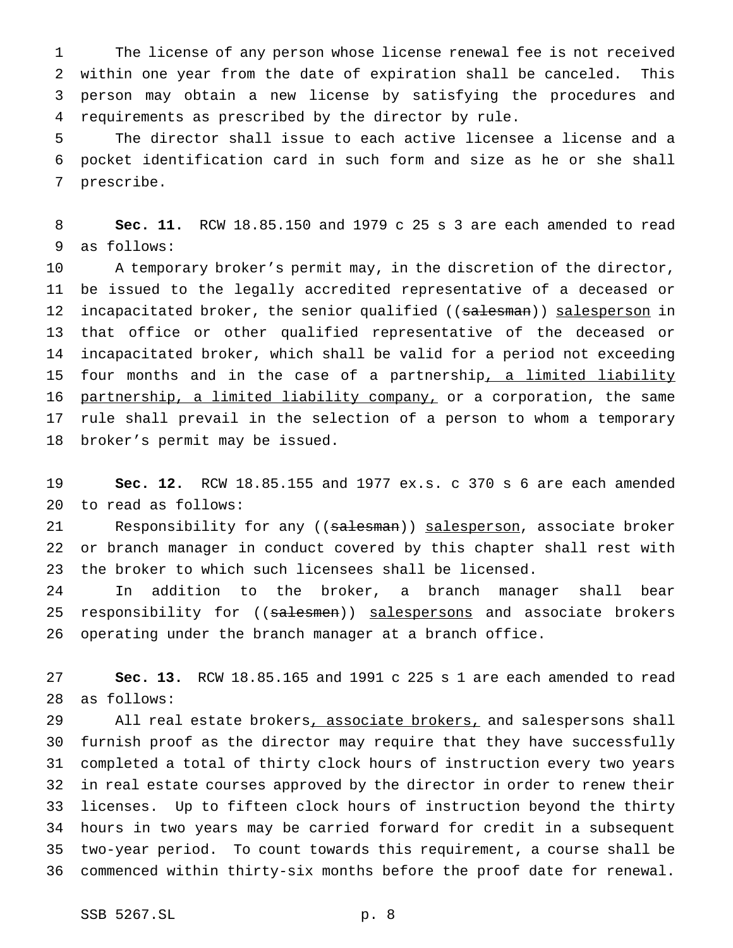The license of any person whose license renewal fee is not received within one year from the date of expiration shall be canceled. This person may obtain a new license by satisfying the procedures and requirements as prescribed by the director by rule.

 The director shall issue to each active licensee a license and a pocket identification card in such form and size as he or she shall prescribe.

 **Sec. 11.** RCW 18.85.150 and 1979 c 25 s 3 are each amended to read as follows:

 A temporary broker's permit may, in the discretion of the director, be issued to the legally accredited representative of a deceased or 12 incapacitated broker, the senior qualified ((salesman)) salesperson in that office or other qualified representative of the deceased or incapacitated broker, which shall be valid for a period not exceeding 15 four months and in the case of a partnership, a limited liability 16 partnership, a limited liability company, or a corporation, the same rule shall prevail in the selection of a person to whom a temporary broker's permit may be issued.

 **Sec. 12.** RCW 18.85.155 and 1977 ex.s. c 370 s 6 are each amended to read as follows:

21 Responsibility for any ((salesman)) salesperson, associate broker or branch manager in conduct covered by this chapter shall rest with the broker to which such licensees shall be licensed.

 In addition to the broker, a branch manager shall bear 25 responsibility for ((salesmen)) salespersons and associate brokers operating under the branch manager at a branch office.

 **Sec. 13.** RCW 18.85.165 and 1991 c 225 s 1 are each amended to read as follows:

29 All real estate brokers, associate brokers, and salespersons shall furnish proof as the director may require that they have successfully completed a total of thirty clock hours of instruction every two years in real estate courses approved by the director in order to renew their licenses. Up to fifteen clock hours of instruction beyond the thirty hours in two years may be carried forward for credit in a subsequent two-year period. To count towards this requirement, a course shall be commenced within thirty-six months before the proof date for renewal.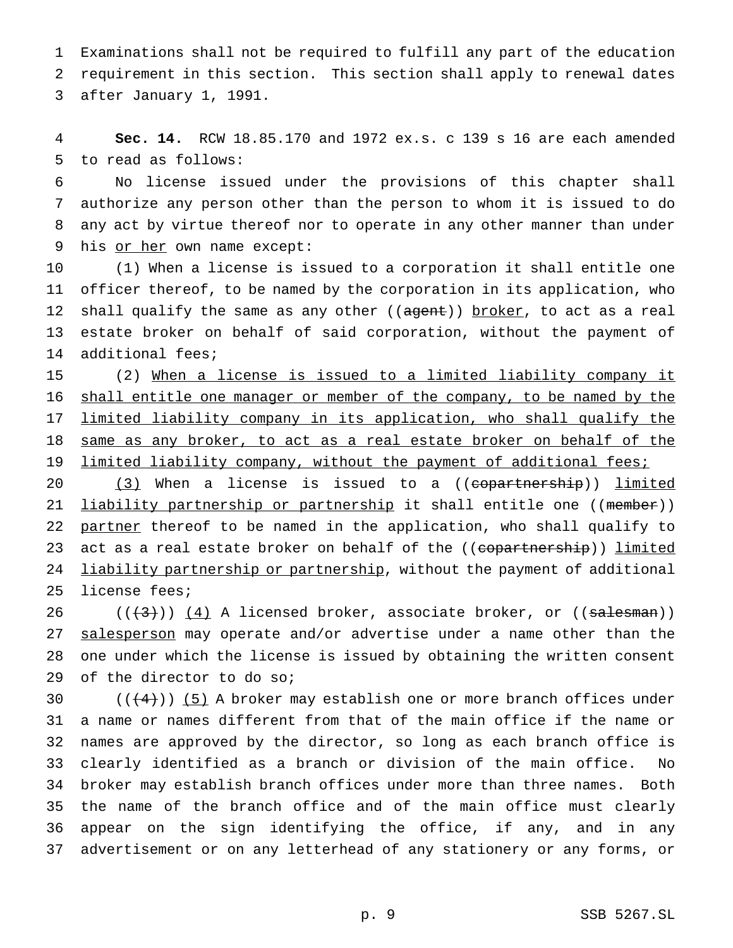Examinations shall not be required to fulfill any part of the education requirement in this section. This section shall apply to renewal dates after January 1, 1991.

 **Sec. 14.** RCW 18.85.170 and 1972 ex.s. c 139 s 16 are each amended to read as follows:

 No license issued under the provisions of this chapter shall authorize any person other than the person to whom it is issued to do any act by virtue thereof nor to operate in any other manner than under 9 his or her own name except:

 (1) When a license is issued to a corporation it shall entitle one officer thereof, to be named by the corporation in its application, who 12 shall qualify the same as any other ((agent)) broker, to act as a real estate broker on behalf of said corporation, without the payment of additional fees;

 (2) When a license is issued to a limited liability company it 16 shall entitle one manager or member of the company, to be named by the limited liability company in its application, who shall qualify the 18 same as any broker, to act as a real estate broker on behalf of the 19 limited liability company, without the payment of additional fees;

20 (3) When a license is issued to a ((copartnership)) limited 21 <u>liability partnership or partnership</u> it shall entitle one ((member)) 22 partner thereof to be named in the application, who shall qualify to 23 act as a real estate broker on behalf of the ((copartnership)) limited 24 liability partnership or partnership, without the payment of additional license fees;

 $((+3))$   $(4)$  A licensed broker, associate broker, or  $((=4)$ 27 salesperson may operate and/or advertise under a name other than the one under which the license is issued by obtaining the written consent of the director to do so;

 $((4+))$  (5) A broker may establish one or more branch offices under a name or names different from that of the main office if the name or names are approved by the director, so long as each branch office is clearly identified as a branch or division of the main office. No broker may establish branch offices under more than three names. Both the name of the branch office and of the main office must clearly appear on the sign identifying the office, if any, and in any advertisement or on any letterhead of any stationery or any forms, or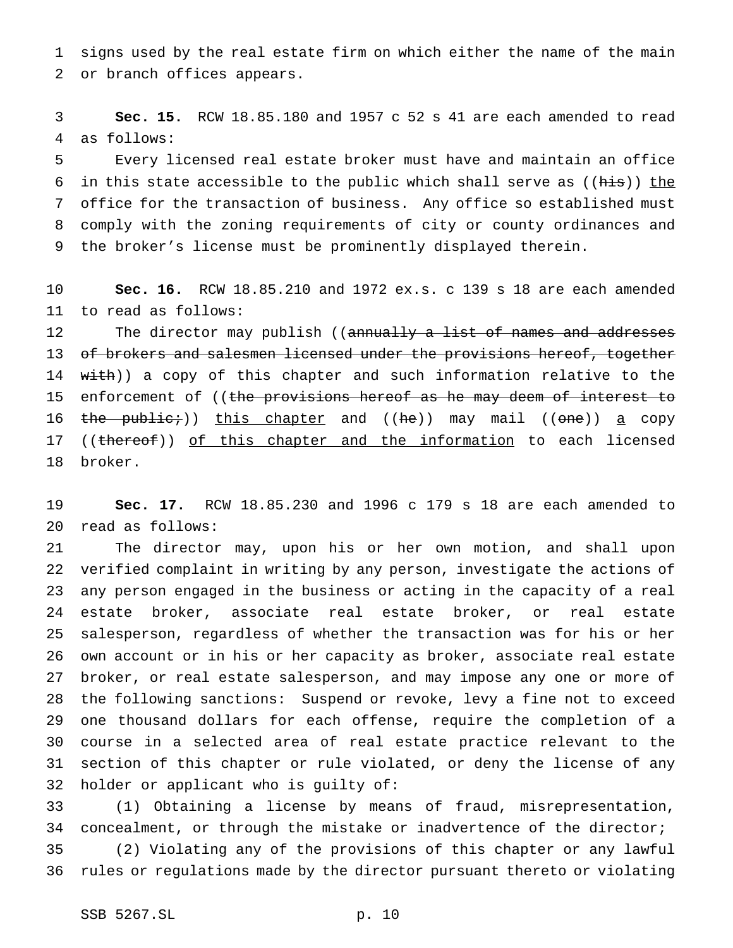signs used by the real estate firm on which either the name of the main or branch offices appears.

 **Sec. 15.** RCW 18.85.180 and 1957 c 52 s 41 are each amended to read as follows:

 Every licensed real estate broker must have and maintain an office 6 in this state accessible to the public which shall serve as ((his)) the office for the transaction of business. Any office so established must comply with the zoning requirements of city or county ordinances and the broker's license must be prominently displayed therein.

 **Sec. 16.** RCW 18.85.210 and 1972 ex.s. c 139 s 18 are each amended to read as follows:

12 The director may publish ((annually a list of names and addresses 13 of brokers and salesmen licensed under the provisions hereof, together 14 with)) a copy of this chapter and such information relative to the 15 enforcement of ((the provisions hereof as he may deem of interest to 16 the public;)) this chapter and ((he)) may mail ((one)) a copy 17 ((thereof)) of this chapter and the information to each licensed broker.

 **Sec. 17.** RCW 18.85.230 and 1996 c 179 s 18 are each amended to read as follows:

 The director may, upon his or her own motion, and shall upon verified complaint in writing by any person, investigate the actions of any person engaged in the business or acting in the capacity of a real estate broker, associate real estate broker, or real estate salesperson, regardless of whether the transaction was for his or her own account or in his or her capacity as broker, associate real estate broker, or real estate salesperson, and may impose any one or more of the following sanctions: Suspend or revoke, levy a fine not to exceed one thousand dollars for each offense, require the completion of a course in a selected area of real estate practice relevant to the section of this chapter or rule violated, or deny the license of any holder or applicant who is guilty of:

 (1) Obtaining a license by means of fraud, misrepresentation, concealment, or through the mistake or inadvertence of the director;

 (2) Violating any of the provisions of this chapter or any lawful rules or regulations made by the director pursuant thereto or violating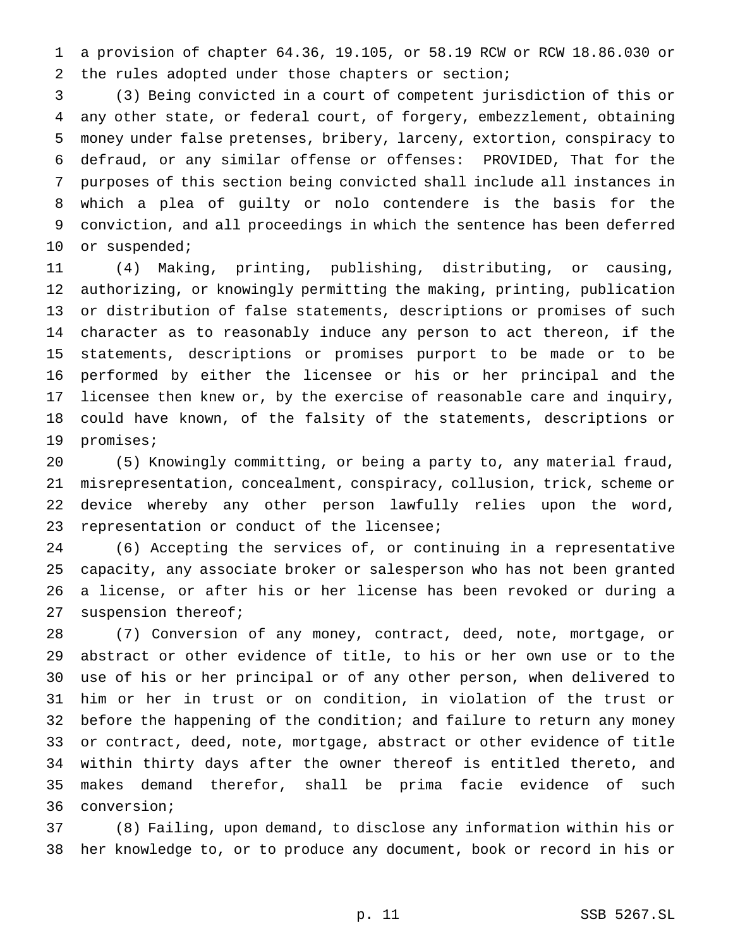a provision of chapter 64.36, 19.105, or 58.19 RCW or RCW 18.86.030 or the rules adopted under those chapters or section;

 (3) Being convicted in a court of competent jurisdiction of this or any other state, or federal court, of forgery, embezzlement, obtaining money under false pretenses, bribery, larceny, extortion, conspiracy to defraud, or any similar offense or offenses: PROVIDED, That for the purposes of this section being convicted shall include all instances in which a plea of guilty or nolo contendere is the basis for the conviction, and all proceedings in which the sentence has been deferred or suspended;

 (4) Making, printing, publishing, distributing, or causing, authorizing, or knowingly permitting the making, printing, publication or distribution of false statements, descriptions or promises of such character as to reasonably induce any person to act thereon, if the statements, descriptions or promises purport to be made or to be performed by either the licensee or his or her principal and the licensee then knew or, by the exercise of reasonable care and inquiry, could have known, of the falsity of the statements, descriptions or promises;

 (5) Knowingly committing, or being a party to, any material fraud, misrepresentation, concealment, conspiracy, collusion, trick, scheme or device whereby any other person lawfully relies upon the word, representation or conduct of the licensee;

 (6) Accepting the services of, or continuing in a representative capacity, any associate broker or salesperson who has not been granted a license, or after his or her license has been revoked or during a suspension thereof;

 (7) Conversion of any money, contract, deed, note, mortgage, or abstract or other evidence of title, to his or her own use or to the use of his or her principal or of any other person, when delivered to him or her in trust or on condition, in violation of the trust or 32 before the happening of the condition; and failure to return any money or contract, deed, note, mortgage, abstract or other evidence of title within thirty days after the owner thereof is entitled thereto, and makes demand therefor, shall be prima facie evidence of such conversion;

 (8) Failing, upon demand, to disclose any information within his or her knowledge to, or to produce any document, book or record in his or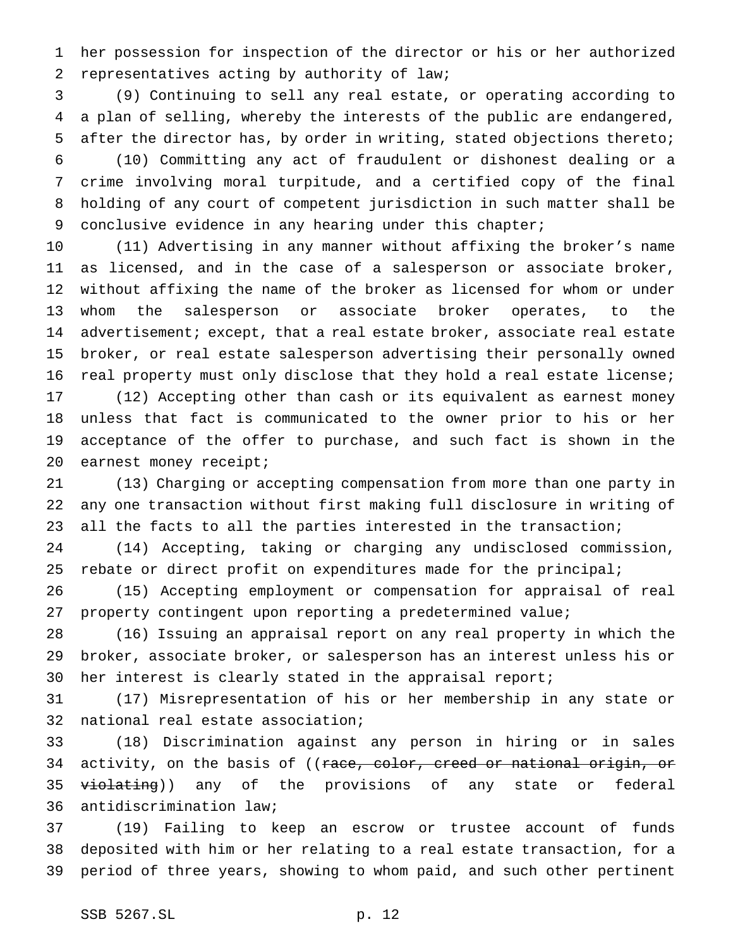her possession for inspection of the director or his or her authorized representatives acting by authority of law;

 (9) Continuing to sell any real estate, or operating according to a plan of selling, whereby the interests of the public are endangered, after the director has, by order in writing, stated objections thereto;

 (10) Committing any act of fraudulent or dishonest dealing or a crime involving moral turpitude, and a certified copy of the final holding of any court of competent jurisdiction in such matter shall be conclusive evidence in any hearing under this chapter;

 (11) Advertising in any manner without affixing the broker's name as licensed, and in the case of a salesperson or associate broker, without affixing the name of the broker as licensed for whom or under whom the salesperson or associate broker operates, to the advertisement; except, that a real estate broker, associate real estate broker, or real estate salesperson advertising their personally owned real property must only disclose that they hold a real estate license;

 (12) Accepting other than cash or its equivalent as earnest money unless that fact is communicated to the owner prior to his or her acceptance of the offer to purchase, and such fact is shown in the 20 earnest money receipt;

 (13) Charging or accepting compensation from more than one party in any one transaction without first making full disclosure in writing of all the facts to all the parties interested in the transaction;

 (14) Accepting, taking or charging any undisclosed commission, 25 rebate or direct profit on expenditures made for the principal;

 (15) Accepting employment or compensation for appraisal of real property contingent upon reporting a predetermined value;

 (16) Issuing an appraisal report on any real property in which the broker, associate broker, or salesperson has an interest unless his or her interest is clearly stated in the appraisal report;

 (17) Misrepresentation of his or her membership in any state or national real estate association;

 (18) Discrimination against any person in hiring or in sales 34 activity, on the basis of ((race, color, creed or national origin, or 35 <del>violating</del>)) any of the provisions of any state or federal antidiscrimination law;

 (19) Failing to keep an escrow or trustee account of funds deposited with him or her relating to a real estate transaction, for a period of three years, showing to whom paid, and such other pertinent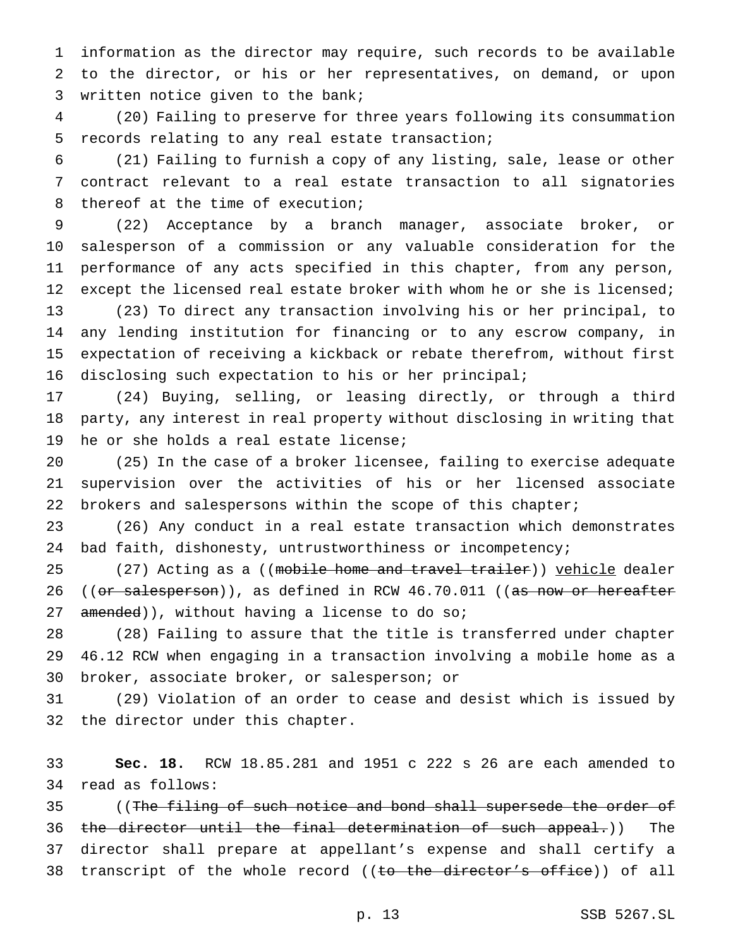information as the director may require, such records to be available to the director, or his or her representatives, on demand, or upon written notice given to the bank;

 (20) Failing to preserve for three years following its consummation records relating to any real estate transaction;

 (21) Failing to furnish a copy of any listing, sale, lease or other contract relevant to a real estate transaction to all signatories thereof at the time of execution;

 (22) Acceptance by a branch manager, associate broker, or salesperson of a commission or any valuable consideration for the performance of any acts specified in this chapter, from any person, 12 except the licensed real estate broker with whom he or she is licensed; (23) To direct any transaction involving his or her principal, to any lending institution for financing or to any escrow company, in expectation of receiving a kickback or rebate therefrom, without first disclosing such expectation to his or her principal;

 (24) Buying, selling, or leasing directly, or through a third party, any interest in real property without disclosing in writing that he or she holds a real estate license;

 (25) In the case of a broker licensee, failing to exercise adequate supervision over the activities of his or her licensed associate 22 brokers and salespersons within the scope of this chapter;

 (26) Any conduct in a real estate transaction which demonstrates bad faith, dishonesty, untrustworthiness or incompetency;

25 (27) Acting as a ((mobile home and travel trailer)) vehicle dealer 26 ((or salesperson)), as defined in RCW 46.70.011 ((as now or hereafter 27 amended)), without having a license to do so;

 (28) Failing to assure that the title is transferred under chapter 46.12 RCW when engaging in a transaction involving a mobile home as a broker, associate broker, or salesperson; or

 (29) Violation of an order to cease and desist which is issued by the director under this chapter.

 **Sec. 18.** RCW 18.85.281 and 1951 c 222 s 26 are each amended to read as follows:

35 ((The filing of such notice and bond shall supersede the order of 36 the director until the final determination of such appeal.)) The director shall prepare at appellant's expense and shall certify a 38 transcript of the whole record ((to the director's office)) of all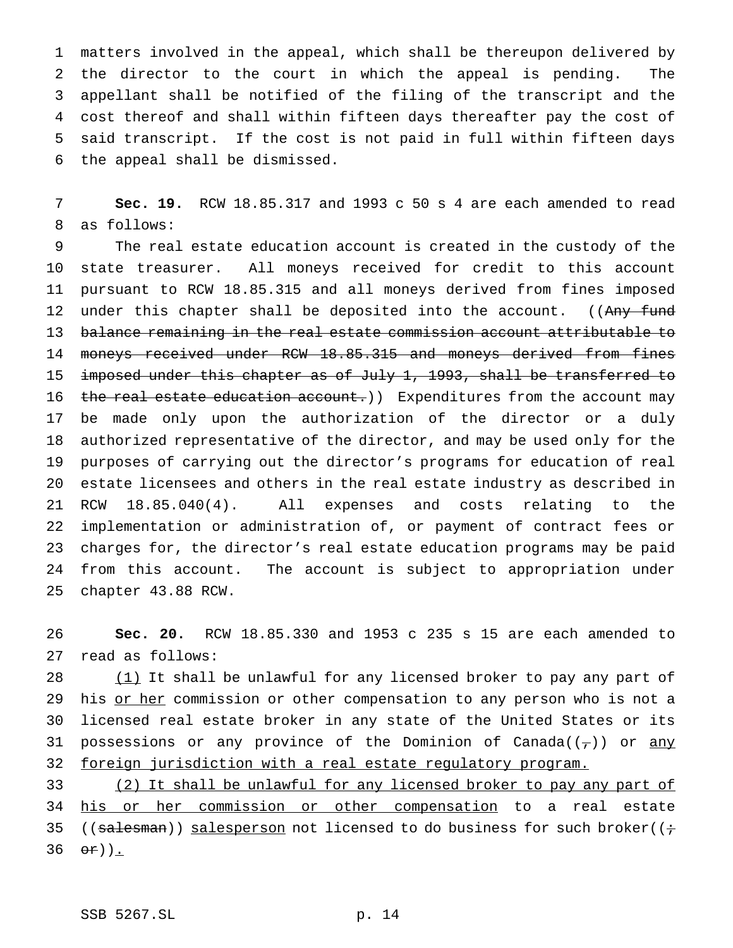matters involved in the appeal, which shall be thereupon delivered by the director to the court in which the appeal is pending. The appellant shall be notified of the filing of the transcript and the cost thereof and shall within fifteen days thereafter pay the cost of said transcript. If the cost is not paid in full within fifteen days the appeal shall be dismissed.

 **Sec. 19.** RCW 18.85.317 and 1993 c 50 s 4 are each amended to read as follows:

 The real estate education account is created in the custody of the state treasurer. All moneys received for credit to this account pursuant to RCW 18.85.315 and all moneys derived from fines imposed 12 under this chapter shall be deposited into the account. ((Any fund balance remaining in the real estate commission account attributable to 14 moneys received under RCW 18.85.315 and moneys derived from fines 15 imposed under this chapter as of July 1, 1993, shall be transferred to 16 the real estate education account.)) Expenditures from the account may be made only upon the authorization of the director or a duly authorized representative of the director, and may be used only for the purposes of carrying out the director's programs for education of real estate licensees and others in the real estate industry as described in RCW 18.85.040(4). All expenses and costs relating to the implementation or administration of, or payment of contract fees or charges for, the director's real estate education programs may be paid from this account. The account is subject to appropriation under chapter 43.88 RCW.

 **Sec. 20.** RCW 18.85.330 and 1953 c 235 s 15 are each amended to read as follows:

28 (1) It shall be unlawful for any licensed broker to pay any part of 29 his or her commission or other compensation to any person who is not a licensed real estate broker in any state of the United States or its 31 possessions or any province of the Dominion of Canada( $(\tau)$ ) or any 32 foreign jurisdiction with a real estate regulatory program.

 (2) It shall be unlawful for any licensed broker to pay any part of 34 his or her commission or other compensation to a real estate 35 ((salesman)) salesperson not licensed to do business for such broker( $(i \div)$  $\Theta$ r)).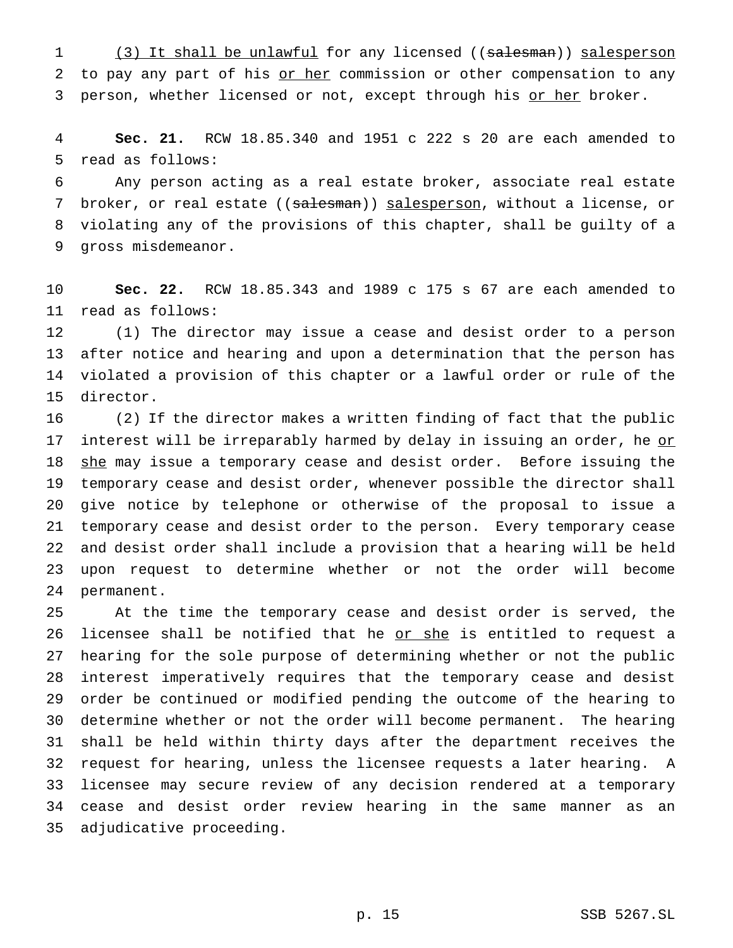1 (3) It shall be unlawful for any licensed ((salesman)) salesperson 2 to pay any part of his or her commission or other compensation to any 3 person, whether licensed or not, except through his or her broker.

 **Sec. 21.** RCW 18.85.340 and 1951 c 222 s 20 are each amended to read as follows:

 Any person acting as a real estate broker, associate real estate 7 broker, or real estate ((salesman)) salesperson, without a license, or violating any of the provisions of this chapter, shall be guilty of a gross misdemeanor.

 **Sec. 22.** RCW 18.85.343 and 1989 c 175 s 67 are each amended to read as follows:

 (1) The director may issue a cease and desist order to a person after notice and hearing and upon a determination that the person has violated a provision of this chapter or a lawful order or rule of the director.

 (2) If the director makes a written finding of fact that the public 17 interest will be irreparably harmed by delay in issuing an order, he or 18 she may issue a temporary cease and desist order. Before issuing the temporary cease and desist order, whenever possible the director shall give notice by telephone or otherwise of the proposal to issue a temporary cease and desist order to the person. Every temporary cease and desist order shall include a provision that a hearing will be held upon request to determine whether or not the order will become permanent.

 At the time the temporary cease and desist order is served, the 26 licensee shall be notified that he or she is entitled to request a hearing for the sole purpose of determining whether or not the public interest imperatively requires that the temporary cease and desist order be continued or modified pending the outcome of the hearing to determine whether or not the order will become permanent. The hearing shall be held within thirty days after the department receives the request for hearing, unless the licensee requests a later hearing. A licensee may secure review of any decision rendered at a temporary cease and desist order review hearing in the same manner as an adjudicative proceeding.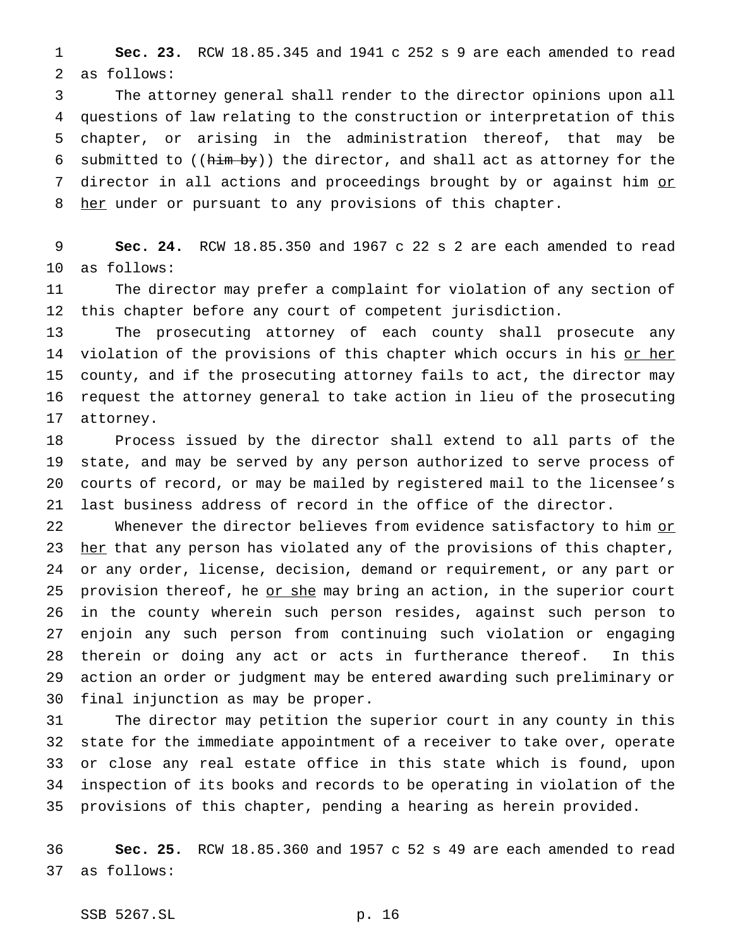**Sec. 23.** RCW 18.85.345 and 1941 c 252 s 9 are each amended to read as follows:

 The attorney general shall render to the director opinions upon all questions of law relating to the construction or interpretation of this chapter, or arising in the administration thereof, that may be 6 submitted to ( $(\hbox{him-by})$ ) the director, and shall act as attorney for the 7 director in all actions and proceedings brought by or against him or 8 her under or pursuant to any provisions of this chapter.

 **Sec. 24.** RCW 18.85.350 and 1967 c 22 s 2 are each amended to read as follows:

 The director may prefer a complaint for violation of any section of this chapter before any court of competent jurisdiction.

 The prosecuting attorney of each county shall prosecute any 14 violation of the provisions of this chapter which occurs in his or her county, and if the prosecuting attorney fails to act, the director may request the attorney general to take action in lieu of the prosecuting attorney.

 Process issued by the director shall extend to all parts of the state, and may be served by any person authorized to serve process of courts of record, or may be mailed by registered mail to the licensee's last business address of record in the office of the director.

22 Whenever the director believes from evidence satisfactory to him or 23 her that any person has violated any of the provisions of this chapter, or any order, license, decision, demand or requirement, or any part or 25 provision thereof, he or she may bring an action, in the superior court in the county wherein such person resides, against such person to enjoin any such person from continuing such violation or engaging therein or doing any act or acts in furtherance thereof. In this action an order or judgment may be entered awarding such preliminary or final injunction as may be proper.

 The director may petition the superior court in any county in this state for the immediate appointment of a receiver to take over, operate or close any real estate office in this state which is found, upon inspection of its books and records to be operating in violation of the provisions of this chapter, pending a hearing as herein provided.

 **Sec. 25.** RCW 18.85.360 and 1957 c 52 s 49 are each amended to read as follows: